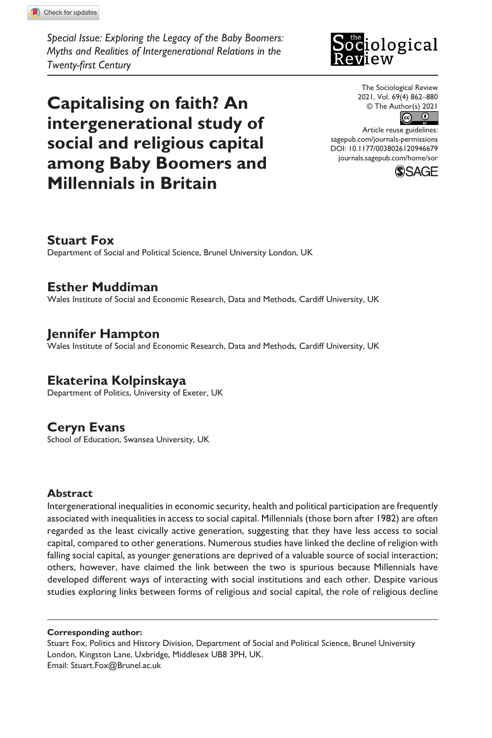**9466[79](http://crossmark.crossref.org/dialog/?doi=10.1177%2F0038026120946679&domain=pdf&date_stamp=2021-06-07)**SOR0010.1177/0038026120946679The Sociological Review**Fox et al.**

*Special Issue: Exploring the Legacy of the Baby Boomers: Myths and Realities of Intergenerational Relations in the Twenty-first Century*

**Capitalising on faith? An intergenerational study of social and religious capital among Baby Boomers and Millennials in Britain**

# **Sociological**

The Sociological Review 2021, Vol. 69(4) 862–880



DOI: 10.1177/0038026120946679 Article reuse guidelines: [sagepub.com/journals-permissions](https://uk.sagepub.com/en-gb/journals-permissions) [journals.sagepub.com/home/sor](https://journals.sagepub.com/home/sor)



# **Stuart Fox**

Department of Social and Political Science, Brunel University London, UK

# **Esther Muddiman**

Wales Institute of Social and Economic Research, Data and Methods, Cardiff University, UK

# **Jennifer Hampton**

Wales Institute of Social and Economic Research, Data and Methods, Cardiff University, UK

# **Ekaterina Kolpinskaya**

Department of Politics, University of Exeter, UK

# **Ceryn Evans**

School of Education, Swansea University, UK

## **Abstract**

Intergenerational inequalities in economic security, health and political participation are frequently associated with inequalities in access to social capital. Millennials (those born after 1982) are often regarded as the least civically active generation, suggesting that they have less access to social capital, compared to other generations. Numerous studies have linked the decline of religion with falling social capital, as younger generations are deprived of a valuable source of social interaction; others, however, have claimed the link between the two is spurious because Millennials have developed different ways of interacting with social institutions and each other. Despite various studies exploring links between forms of religious and social capital, the role of religious decline

#### **Corresponding author:**

Stuart Fox, Politics and History Division, Department of Social and Political Science, Brunel University London, Kingston Lane, Uxbridge, Middlesex UB8 3PH, UK. Email: [Stuart.Fox@Brunel.ac.uk](mailto:Stuart.Fox@Brunel.ac.uk)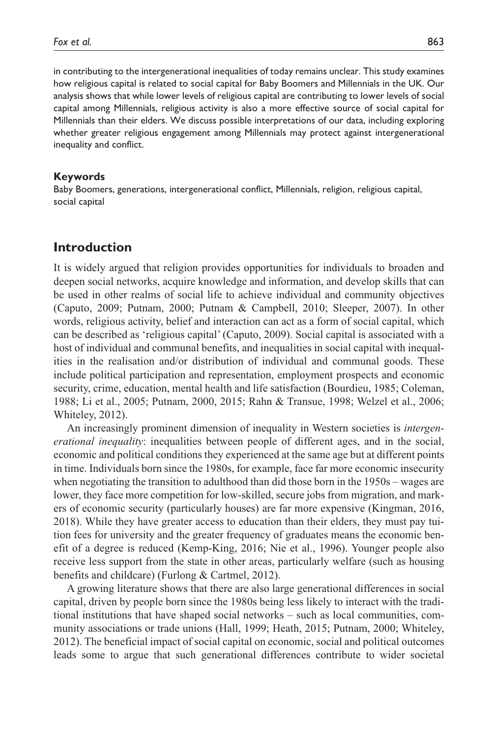in contributing to the intergenerational inequalities of today remains unclear. This study examines how religious capital is related to social capital for Baby Boomers and Millennials in the UK. Our analysis shows that while lower levels of religious capital are contributing to lower levels of social capital among Millennials, religious activity is also a more effective source of social capital for Millennials than their elders. We discuss possible interpretations of our data, including exploring whether greater religious engagement among Millennials may protect against intergenerational inequality and conflict.

#### **Keywords**

Baby Boomers, generations, intergenerational conflict, Millennials, religion, religious capital, social capital

## **Introduction**

It is widely argued that religion provides opportunities for individuals to broaden and deepen social networks, acquire knowledge and information, and develop skills that can be used in other realms of social life to achieve individual and community objectives (Caputo, 2009; Putnam, 2000; Putnam & Campbell, 2010; Sleeper, 2007). In other words, religious activity, belief and interaction can act as a form of social capital, which can be described as 'religious capital' (Caputo, 2009). Social capital is associated with a host of individual and communal benefits, and inequalities in social capital with inequalities in the realisation and/or distribution of individual and communal goods. These include political participation and representation, employment prospects and economic security, crime, education, mental health and life satisfaction (Bourdieu, 1985; Coleman, 1988; Li et al., 2005; Putnam, 2000, 2015; Rahn & Transue, 1998; Welzel et al., 2006; Whiteley, 2012).

An increasingly prominent dimension of inequality in Western societies is *intergenerational inequality*: inequalities between people of different ages, and in the social, economic and political conditions they experienced at the same age but at different points in time. Individuals born since the 1980s, for example, face far more economic insecurity when negotiating the transition to adulthood than did those born in the 1950s – wages are lower, they face more competition for low-skilled, secure jobs from migration, and markers of economic security (particularly houses) are far more expensive (Kingman, 2016, 2018). While they have greater access to education than their elders, they must pay tuition fees for university and the greater frequency of graduates means the economic benefit of a degree is reduced (Kemp-King, 2016; Nie et al., 1996). Younger people also receive less support from the state in other areas, particularly welfare (such as housing benefits and childcare) (Furlong & Cartmel, 2012).

A growing literature shows that there are also large generational differences in social capital, driven by people born since the 1980s being less likely to interact with the traditional institutions that have shaped social networks – such as local communities, community associations or trade unions (Hall, 1999; Heath, 2015; Putnam, 2000; Whiteley, 2012). The beneficial impact of social capital on economic, social and political outcomes leads some to argue that such generational differences contribute to wider societal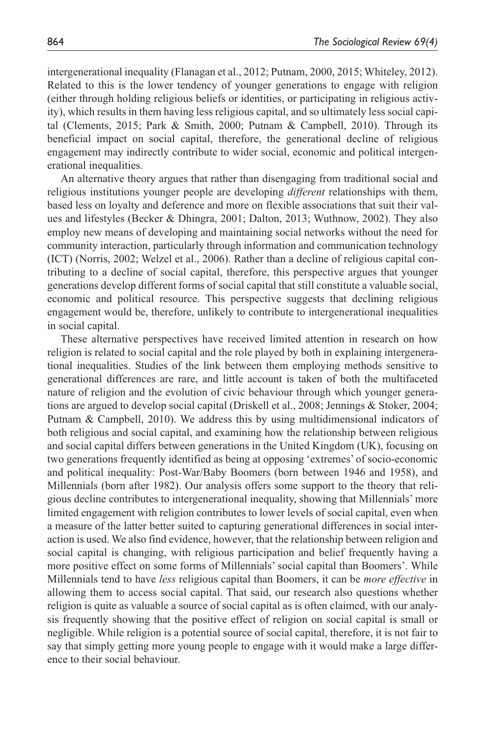intergenerational inequality (Flanagan et al., 2012; Putnam, 2000, 2015; Whiteley, 2012). Related to this is the lower tendency of younger generations to engage with religion (either through holding religious beliefs or identities, or participating in religious activity), which results in them having less religious capital, and so ultimately less social capital (Clements, 2015; Park & Smith, 2000; Putnam & Campbell, 2010). Through its beneficial impact on social capital, therefore, the generational decline of religious engagement may indirectly contribute to wider social, economic and political intergenerational inequalities.

An alternative theory argues that rather than disengaging from traditional social and religious institutions younger people are developing *different* relationships with them, based less on loyalty and deference and more on flexible associations that suit their values and lifestyles (Becker & Dhingra, 2001; Dalton, 2013; Wuthnow, 2002). They also employ new means of developing and maintaining social networks without the need for community interaction, particularly through information and communication technology (ICT) (Norris, 2002; Welzel et al., 2006). Rather than a decline of religious capital contributing to a decline of social capital, therefore, this perspective argues that younger generations develop different forms of social capital that still constitute a valuable social, economic and political resource. This perspective suggests that declining religious engagement would be, therefore, unlikely to contribute to intergenerational inequalities in social capital.

These alternative perspectives have received limited attention in research on how religion is related to social capital and the role played by both in explaining intergenerational inequalities. Studies of the link between them employing methods sensitive to generational differences are rare, and little account is taken of both the multifaceted nature of religion and the evolution of civic behaviour through which younger generations are argued to develop social capital (Driskell et al., 2008; Jennings & Stoker, 2004; Putnam & Campbell, 2010). We address this by using multidimensional indicators of both religious and social capital, and examining how the relationship between religious and social capital differs between generations in the United Kingdom (UK), focusing on two generations frequently identified as being at opposing 'extremes' of socio-economic and political inequality: Post-War/Baby Boomers (born between 1946 and 1958), and Millennials (born after 1982). Our analysis offers some support to the theory that religious decline contributes to intergenerational inequality, showing that Millennials' more limited engagement with religion contributes to lower levels of social capital, even when a measure of the latter better suited to capturing generational differences in social interaction is used. We also find evidence, however, that the relationship between religion and social capital is changing, with religious participation and belief frequently having a more positive effect on some forms of Millennials' social capital than Boomers'. While Millennials tend to have *less* religious capital than Boomers, it can be *more effective* in allowing them to access social capital. That said, our research also questions whether religion is quite as valuable a source of social capital as is often claimed, with our analysis frequently showing that the positive effect of religion on social capital is small or negligible. While religion is a potential source of social capital, therefore, it is not fair to say that simply getting more young people to engage with it would make a large difference to their social behaviour.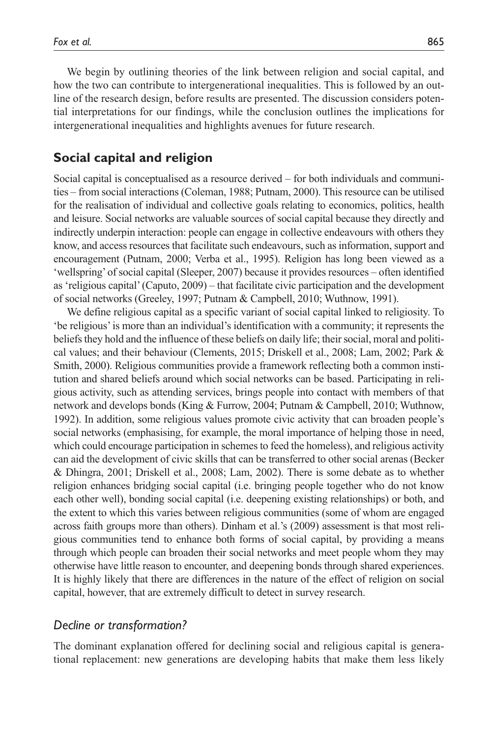We begin by outlining theories of the link between religion and social capital, and how the two can contribute to intergenerational inequalities. This is followed by an outline of the research design, before results are presented. The discussion considers potential interpretations for our findings, while the conclusion outlines the implications for intergenerational inequalities and highlights avenues for future research.

# **Social capital and religion**

Social capital is conceptualised as a resource derived – for both individuals and communities – from social interactions (Coleman, 1988; Putnam, 2000). This resource can be utilised for the realisation of individual and collective goals relating to economics, politics, health and leisure. Social networks are valuable sources of social capital because they directly and indirectly underpin interaction: people can engage in collective endeavours with others they know, and access resources that facilitate such endeavours, such as information, support and encouragement (Putnam, 2000; Verba et al., 1995). Religion has long been viewed as a 'wellspring' of social capital (Sleeper, 2007) because it provides resources – often identified as 'religious capital' (Caputo, 2009) – that facilitate civic participation and the development of social networks (Greeley, 1997; Putnam & Campbell, 2010; Wuthnow, 1991).

We define religious capital as a specific variant of social capital linked to religiosity. To 'be religious' is more than an individual's identification with a community; it represents the beliefs they hold and the influence of these beliefs on daily life; their social, moral and political values; and their behaviour (Clements, 2015; Driskell et al., 2008; Lam, 2002; Park & Smith, 2000). Religious communities provide a framework reflecting both a common institution and shared beliefs around which social networks can be based. Participating in religious activity, such as attending services, brings people into contact with members of that network and develops bonds (King & Furrow, 2004; Putnam & Campbell, 2010; Wuthnow, 1992). In addition, some religious values promote civic activity that can broaden people's social networks (emphasising, for example, the moral importance of helping those in need, which could encourage participation in schemes to feed the homeless), and religious activity can aid the development of civic skills that can be transferred to other social arenas (Becker & Dhingra, 2001; Driskell et al., 2008; Lam, 2002). There is some debate as to whether religion enhances bridging social capital (i.e. bringing people together who do not know each other well), bonding social capital (i.e. deepening existing relationships) or both, and the extent to which this varies between religious communities (some of whom are engaged across faith groups more than others). Dinham et al.'s (2009) assessment is that most religious communities tend to enhance both forms of social capital, by providing a means through which people can broaden their social networks and meet people whom they may otherwise have little reason to encounter, and deepening bonds through shared experiences. It is highly likely that there are differences in the nature of the effect of religion on social capital, however, that are extremely difficult to detect in survey research.

# *Decline or transformation?*

The dominant explanation offered for declining social and religious capital is generational replacement: new generations are developing habits that make them less likely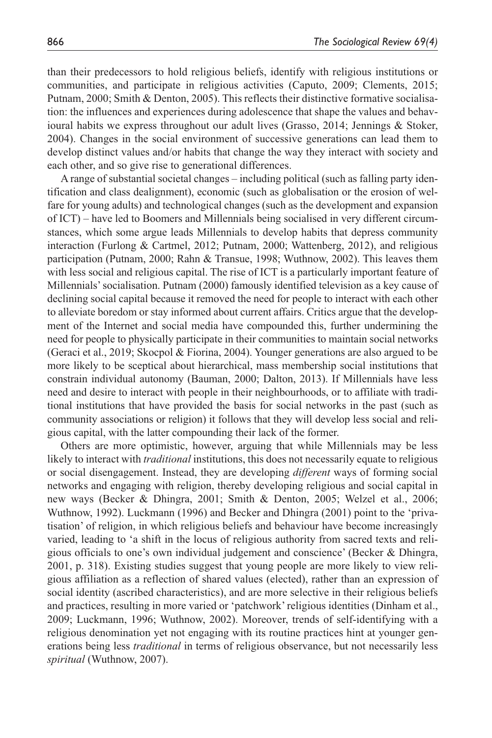than their predecessors to hold religious beliefs, identify with religious institutions or communities, and participate in religious activities (Caputo, 2009; Clements, 2015; Putnam, 2000; Smith & Denton, 2005). This reflects their distinctive formative socialisation: the influences and experiences during adolescence that shape the values and behavioural habits we express throughout our adult lives (Grasso, 2014; Jennings & Stoker, 2004). Changes in the social environment of successive generations can lead them to develop distinct values and/or habits that change the way they interact with society and each other, and so give rise to generational differences.

A range of substantial societal changes – including political (such as falling party identification and class dealignment), economic (such as globalisation or the erosion of welfare for young adults) and technological changes (such as the development and expansion of ICT) – have led to Boomers and Millennials being socialised in very different circumstances, which some argue leads Millennials to develop habits that depress community interaction (Furlong & Cartmel, 2012; Putnam, 2000; Wattenberg, 2012), and religious participation (Putnam, 2000; Rahn & Transue, 1998; Wuthnow, 2002). This leaves them with less social and religious capital. The rise of ICT is a particularly important feature of Millennials' socialisation. Putnam (2000) famously identified television as a key cause of declining social capital because it removed the need for people to interact with each other to alleviate boredom or stay informed about current affairs. Critics argue that the development of the Internet and social media have compounded this, further undermining the need for people to physically participate in their communities to maintain social networks (Geraci et al., 2019; Skocpol & Fiorina, 2004). Younger generations are also argued to be more likely to be sceptical about hierarchical, mass membership social institutions that constrain individual autonomy (Bauman, 2000; Dalton, 2013). If Millennials have less need and desire to interact with people in their neighbourhoods, or to affiliate with traditional institutions that have provided the basis for social networks in the past (such as community associations or religion) it follows that they will develop less social and religious capital, with the latter compounding their lack of the former.

Others are more optimistic, however, arguing that while Millennials may be less likely to interact with *traditional* institutions, this does not necessarily equate to religious or social disengagement. Instead, they are developing *different* ways of forming social networks and engaging with religion, thereby developing religious and social capital in new ways (Becker & Dhingra, 2001; Smith & Denton, 2005; Welzel et al., 2006; Wuthnow, 1992). Luckmann (1996) and Becker and Dhingra (2001) point to the 'privatisation' of religion, in which religious beliefs and behaviour have become increasingly varied, leading to 'a shift in the locus of religious authority from sacred texts and religious officials to one's own individual judgement and conscience' (Becker & Dhingra, 2001, p. 318). Existing studies suggest that young people are more likely to view religious affiliation as a reflection of shared values (elected), rather than an expression of social identity (ascribed characteristics), and are more selective in their religious beliefs and practices, resulting in more varied or 'patchwork' religious identities (Dinham et al., 2009; Luckmann, 1996; Wuthnow, 2002). Moreover, trends of self-identifying with a religious denomination yet not engaging with its routine practices hint at younger generations being less *traditional* in terms of religious observance, but not necessarily less *spiritual* (Wuthnow, 2007).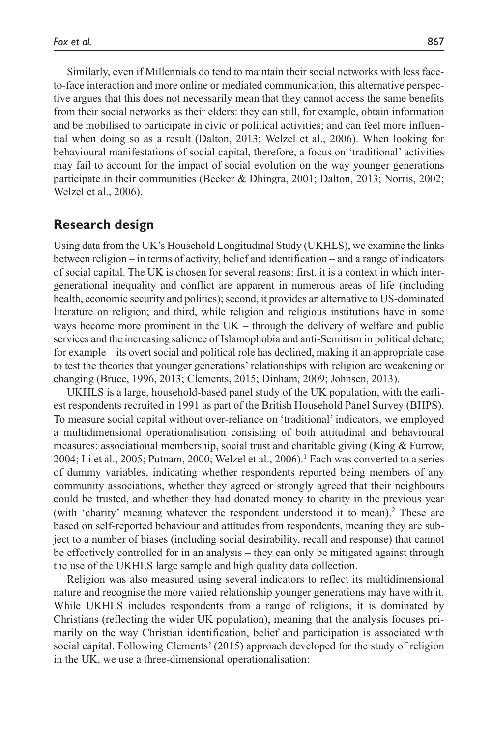Similarly, even if Millennials do tend to maintain their social networks with less faceto-face interaction and more online or mediated communication, this alternative perspective argues that this does not necessarily mean that they cannot access the same benefits from their social networks as their elders: they can still, for example, obtain information and be mobilised to participate in civic or political activities; and can feel more influential when doing so as a result (Dalton, 2013; Welzel et al., 2006). When looking for behavioural manifestations of social capital, therefore, a focus on 'traditional' activities may fail to account for the impact of social evolution on the way younger generations participate in their communities (Becker & Dhingra, 2001; Dalton, 2013; Norris, 2002; Welzel et al., 2006).

## **Research design**

Using data from the UK's Household Longitudinal Study (UKHLS), we examine the links between religion – in terms of activity, belief and identification – and a range of indicators of social capital. The UK is chosen for several reasons: first, it is a context in which intergenerational inequality and conflict are apparent in numerous areas of life (including health, economic security and politics); second, it provides an alternative to US-dominated literature on religion; and third, while religion and religious institutions have in some ways become more prominent in the UK – through the delivery of welfare and public services and the increasing salience of Islamophobia and anti-Semitism in political debate, for example – its overt social and political role has declined, making it an appropriate case to test the theories that younger generations' relationships with religion are weakening or changing (Bruce, 1996, 2013; Clements, 2015; Dinham, 2009; Johnsen, 2013).

UKHLS is a large, household-based panel study of the UK population, with the earliest respondents recruited in 1991 as part of the British Household Panel Survey (BHPS). To measure social capital without over-reliance on 'traditional' indicators, we employed a multidimensional operationalisation consisting of both attitudinal and behavioural measures: associational membership, social trust and charitable giving (King & Furrow, 2004; Li et al., 2005; Putnam, 2000; Welzel et al., 2006).<sup>1</sup> Each was converted to a series of dummy variables, indicating whether respondents reported being members of any community associations, whether they agreed or strongly agreed that their neighbours could be trusted, and whether they had donated money to charity in the previous year (with 'charity' meaning whatever the respondent understood it to mean).<sup>2</sup> These are based on self-reported behaviour and attitudes from respondents, meaning they are subject to a number of biases (including social desirability, recall and response) that cannot be effectively controlled for in an analysis – they can only be mitigated against through the use of the UKHLS large sample and high quality data collection.

Religion was also measured using several indicators to reflect its multidimensional nature and recognise the more varied relationship younger generations may have with it. While UKHLS includes respondents from a range of religions, it is dominated by Christians (reflecting the wider UK population), meaning that the analysis focuses primarily on the way Christian identification, belief and participation is associated with social capital. Following Clements' (2015) approach developed for the study of religion in the UK, we use a three-dimensional operationalisation: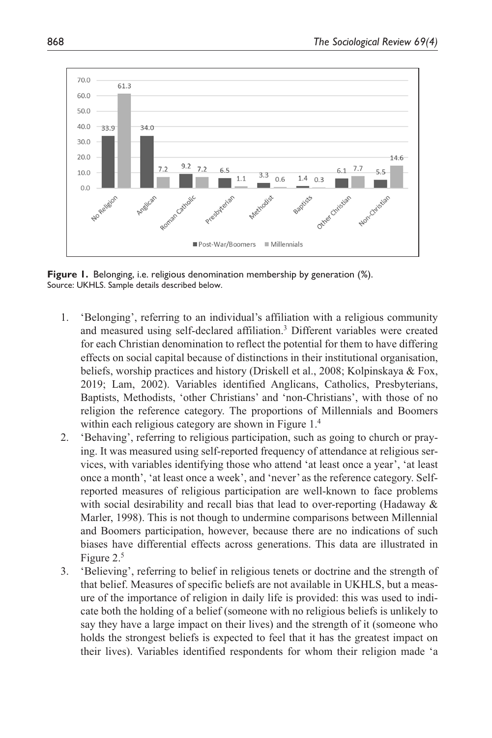

**Figure 1.** Belonging, i.e. religious denomination membership by generation (%). Source: UKHLS. Sample details described below.

- 1. 'Belonging', referring to an individual's affiliation with a religious community and measured using self-declared affiliation.<sup>3</sup> Different variables were created for each Christian denomination to reflect the potential for them to have differing effects on social capital because of distinctions in their institutional organisation, beliefs, worship practices and history (Driskell et al., 2008; Kolpinskaya & Fox, 2019; Lam, 2002). Variables identified Anglicans, Catholics, Presbyterians, Baptists, Methodists, 'other Christians' and 'non-Christians', with those of no religion the reference category. The proportions of Millennials and Boomers within each religious category are shown in Figure 1.<sup>4</sup>
- 2. 'Behaving', referring to religious participation, such as going to church or praying. It was measured using self-reported frequency of attendance at religious services, with variables identifying those who attend 'at least once a year', 'at least once a month', 'at least once a week', and 'never' as the reference category. Selfreported measures of religious participation are well-known to face problems with social desirability and recall bias that lead to over-reporting (Hadaway & Marler, 1998). This is not though to undermine comparisons between Millennial and Boomers participation, however, because there are no indications of such biases have differential effects across generations. This data are illustrated in Figure 2.5
- 3. 'Believing', referring to belief in religious tenets or doctrine and the strength of that belief. Measures of specific beliefs are not available in UKHLS, but a measure of the importance of religion in daily life is provided: this was used to indicate both the holding of a belief (someone with no religious beliefs is unlikely to say they have a large impact on their lives) and the strength of it (someone who holds the strongest beliefs is expected to feel that it has the greatest impact on their lives). Variables identified respondents for whom their religion made 'a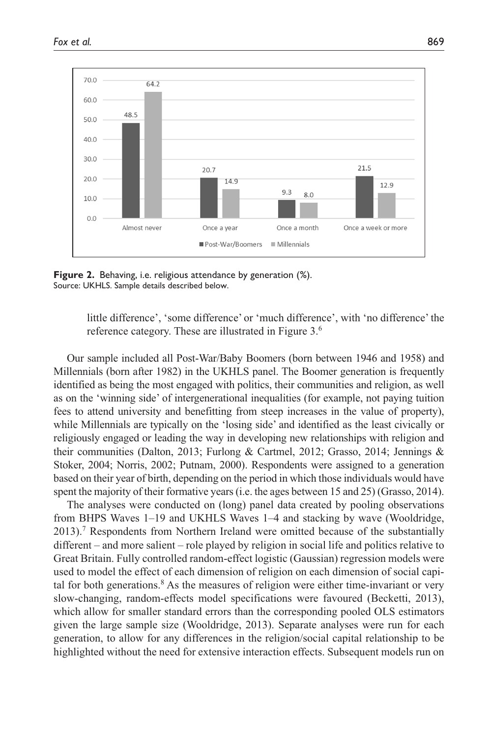

**Figure 2.** Behaving, i.e. religious attendance by generation (%). Source: UKHLS. Sample details described below.

little difference', 'some difference' or 'much difference', with 'no difference' the reference category. These are illustrated in Figure 3.6

Our sample included all Post-War/Baby Boomers (born between 1946 and 1958) and Millennials (born after 1982) in the UKHLS panel. The Boomer generation is frequently identified as being the most engaged with politics, their communities and religion, as well as on the 'winning side' of intergenerational inequalities (for example, not paying tuition fees to attend university and benefitting from steep increases in the value of property), while Millennials are typically on the 'losing side' and identified as the least civically or religiously engaged or leading the way in developing new relationships with religion and their communities (Dalton, 2013; Furlong & Cartmel, 2012; Grasso, 2014; Jennings & Stoker, 2004; Norris, 2002; Putnam, 2000). Respondents were assigned to a generation based on their year of birth, depending on the period in which those individuals would have spent the majority of their formative years (i.e. the ages between 15 and 25) (Grasso, 2014).

The analyses were conducted on (long) panel data created by pooling observations from BHPS Waves 1–19 and UKHLS Waves 1–4 and stacking by wave (Wooldridge, 2013).7 Respondents from Northern Ireland were omitted because of the substantially different – and more salient – role played by religion in social life and politics relative to Great Britain. Fully controlled random-effect logistic (Gaussian) regression models were used to model the effect of each dimension of religion on each dimension of social capital for both generations.<sup>8</sup> As the measures of religion were either time-invariant or very slow-changing, random-effects model specifications were favoured (Becketti, 2013), which allow for smaller standard errors than the corresponding pooled OLS estimators given the large sample size (Wooldridge, 2013). Separate analyses were run for each generation, to allow for any differences in the religion/social capital relationship to be highlighted without the need for extensive interaction effects. Subsequent models run on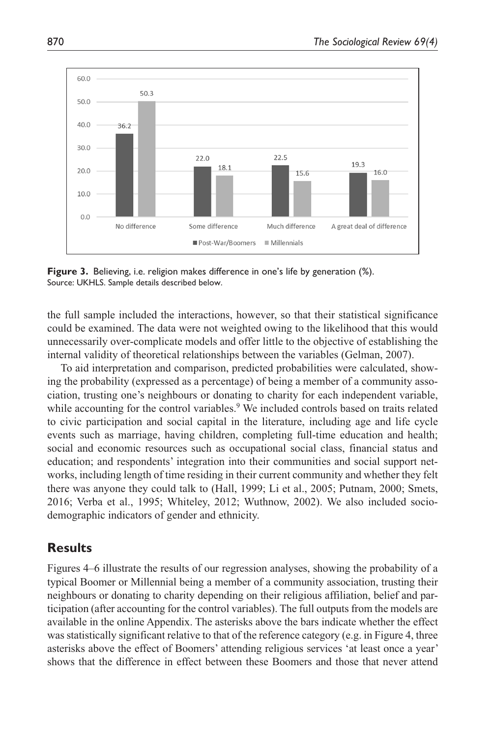

**Figure 3.** Believing, i.e. religion makes difference in one's life by generation (%). Source: UKHLS. Sample details described below.

the full sample included the interactions, however, so that their statistical significance could be examined. The data were not weighted owing to the likelihood that this would unnecessarily over-complicate models and offer little to the objective of establishing the internal validity of theoretical relationships between the variables (Gelman, 2007).

To aid interpretation and comparison, predicted probabilities were calculated, showing the probability (expressed as a percentage) of being a member of a community association, trusting one's neighbours or donating to charity for each independent variable, while accounting for the control variables.<sup>9</sup> We included controls based on traits related to civic participation and social capital in the literature, including age and life cycle events such as marriage, having children, completing full-time education and health; social and economic resources such as occupational social class, financial status and education; and respondents' integration into their communities and social support networks, including length of time residing in their current community and whether they felt there was anyone they could talk to (Hall, 1999; Li et al., 2005; Putnam, 2000; Smets, 2016; Verba et al., 1995; Whiteley, 2012; Wuthnow, 2002). We also included sociodemographic indicators of gender and ethnicity.

## **Results**

Figures 4–6 illustrate the results of our regression analyses, showing the probability of a typical Boomer or Millennial being a member of a community association, trusting their neighbours or donating to charity depending on their religious affiliation, belief and participation (after accounting for the control variables). The full outputs from the models are available in the online Appendix. The asterisks above the bars indicate whether the effect was statistically significant relative to that of the reference category (e.g. in Figure 4, three asterisks above the effect of Boomers' attending religious services 'at least once a year' shows that the difference in effect between these Boomers and those that never attend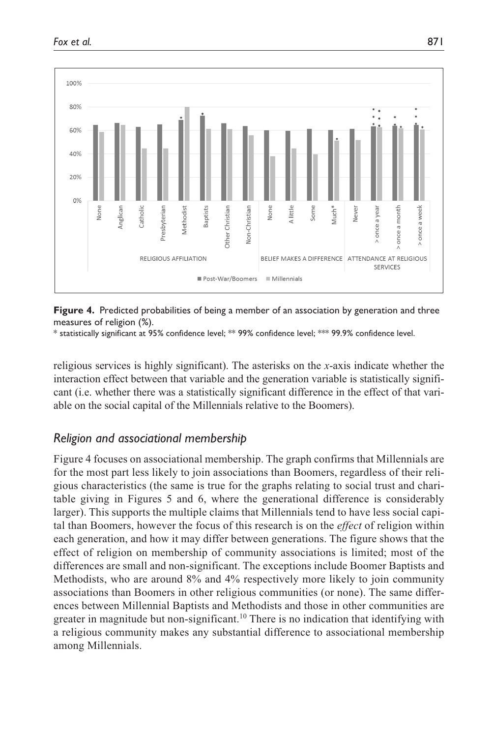

**Figure 4.** Predicted probabilities of being a member of an association by generation and three measures of religion (%).

\* statistically significant at 95% confidence level; \*\* 99% confidence level; \*\*\* 99.9% confidence level.

religious services is highly significant). The asterisks on the *x*-axis indicate whether the interaction effect between that variable and the generation variable is statistically significant (i.e. whether there was a statistically significant difference in the effect of that variable on the social capital of the Millennials relative to the Boomers).

## *Religion and associational membership*

Figure 4 focuses on associational membership. The graph confirms that Millennials are for the most part less likely to join associations than Boomers, regardless of their religious characteristics (the same is true for the graphs relating to social trust and charitable giving in Figures 5 and 6, where the generational difference is considerably larger). This supports the multiple claims that Millennials tend to have less social capital than Boomers, however the focus of this research is on the *effect* of religion within each generation, and how it may differ between generations. The figure shows that the effect of religion on membership of community associations is limited; most of the differences are small and non-significant. The exceptions include Boomer Baptists and Methodists, who are around 8% and 4% respectively more likely to join community associations than Boomers in other religious communities (or none). The same differences between Millennial Baptists and Methodists and those in other communities are greater in magnitude but non-significant.<sup>10</sup> There is no indication that identifying with a religious community makes any substantial difference to associational membership among Millennials.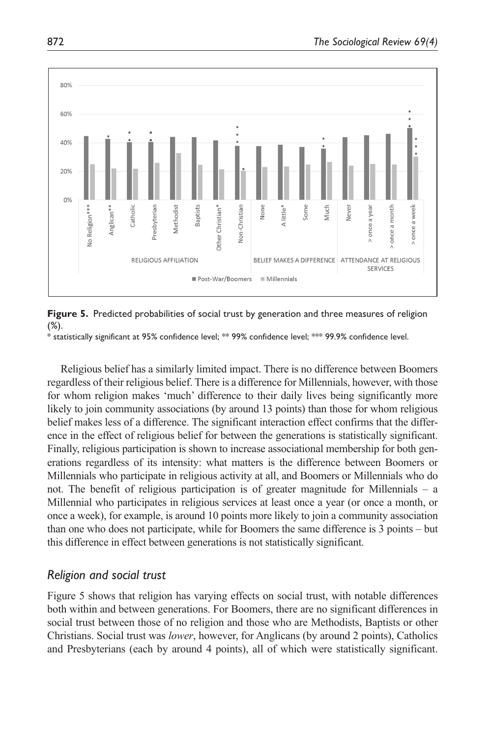

**Figure 5.** Predicted probabilities of social trust by generation and three measures of religion (%).

 $^{\ast}$  statistically significant at 95% confidence level;  $^{\ast\ast}$  99% confidence level;  $^{\ast\ast\ast}$  99.9% confidence level.

Religious belief has a similarly limited impact. There is no difference between Boomers regardless of their religious belief. There is a difference for Millennials, however, with those for whom religion makes 'much' difference to their daily lives being significantly more likely to join community associations (by around 13 points) than those for whom religious belief makes less of a difference. The significant interaction effect confirms that the difference in the effect of religious belief for between the generations is statistically significant. Finally, religious participation is shown to increase associational membership for both generations regardless of its intensity: what matters is the difference between Boomers or Millennials who participate in religious activity at all, and Boomers or Millennials who do not. The benefit of religious participation is of greater magnitude for Millennials – a Millennial who participates in religious services at least once a year (or once a month, or once a week), for example, is around 10 points more likely to join a community association than one who does not participate, while for Boomers the same difference is 3 points – but this difference in effect between generations is not statistically significant.

## *Religion and social trust*

Figure 5 shows that religion has varying effects on social trust, with notable differences both within and between generations. For Boomers, there are no significant differences in social trust between those of no religion and those who are Methodists, Baptists or other Christians. Social trust was *lower*, however, for Anglicans (by around 2 points), Catholics and Presbyterians (each by around 4 points), all of which were statistically significant.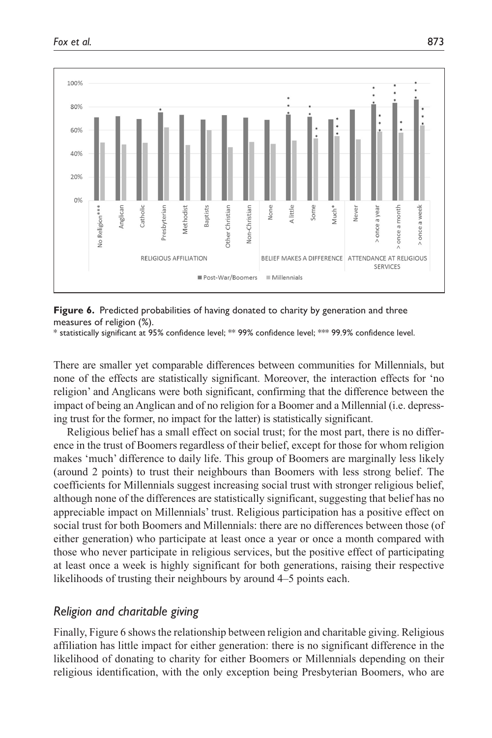

**Figure 6.** Predicted probabilities of having donated to charity by generation and three measures of religion (%).

\* statistically significant at 95% confidence level; \*\* 99% confidence level; \*\*\* 99.9% confidence level.

There are smaller yet comparable differences between communities for Millennials, but none of the effects are statistically significant. Moreover, the interaction effects for 'no religion' and Anglicans were both significant, confirming that the difference between the impact of being an Anglican and of no religion for a Boomer and a Millennial (i.e. depressing trust for the former, no impact for the latter) is statistically significant.

Religious belief has a small effect on social trust; for the most part, there is no difference in the trust of Boomers regardless of their belief, except for those for whom religion makes 'much' difference to daily life. This group of Boomers are marginally less likely (around 2 points) to trust their neighbours than Boomers with less strong belief. The coefficients for Millennials suggest increasing social trust with stronger religious belief, although none of the differences are statistically significant, suggesting that belief has no appreciable impact on Millennials' trust. Religious participation has a positive effect on social trust for both Boomers and Millennials: there are no differences between those (of either generation) who participate at least once a year or once a month compared with those who never participate in religious services, but the positive effect of participating at least once a week is highly significant for both generations, raising their respective likelihoods of trusting their neighbours by around 4–5 points each.

## *Religion and charitable giving*

Finally, Figure 6 shows the relationship between religion and charitable giving. Religious affiliation has little impact for either generation: there is no significant difference in the likelihood of donating to charity for either Boomers or Millennials depending on their religious identification, with the only exception being Presbyterian Boomers, who are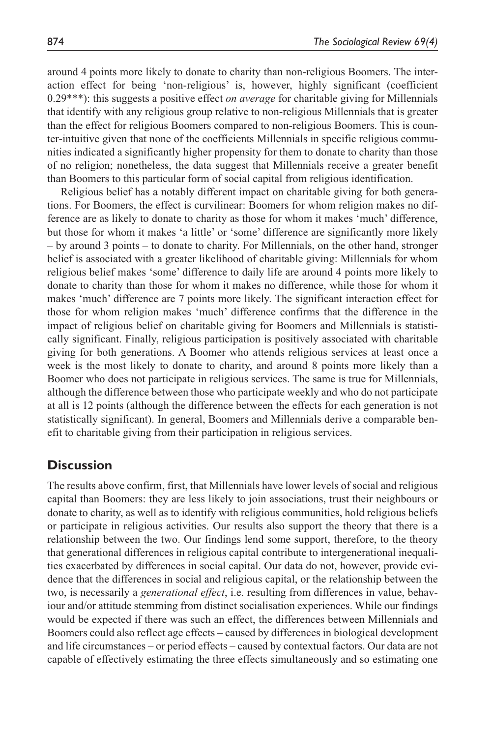around 4 points more likely to donate to charity than non-religious Boomers. The interaction effect for being 'non-religious' is, however, highly significant (coefficient 0.29\*\*\*): this suggests a positive effect *on average* for charitable giving for Millennials that identify with any religious group relative to non-religious Millennials that is greater than the effect for religious Boomers compared to non-religious Boomers. This is counter-intuitive given that none of the coefficients Millennials in specific religious communities indicated a significantly higher propensity for them to donate to charity than those of no religion; nonetheless, the data suggest that Millennials receive a greater benefit than Boomers to this particular form of social capital from religious identification.

Religious belief has a notably different impact on charitable giving for both generations. For Boomers, the effect is curvilinear: Boomers for whom religion makes no difference are as likely to donate to charity as those for whom it makes 'much' difference, but those for whom it makes 'a little' or 'some' difference are significantly more likely – by around 3 points – to donate to charity. For Millennials, on the other hand, stronger belief is associated with a greater likelihood of charitable giving: Millennials for whom religious belief makes 'some' difference to daily life are around 4 points more likely to donate to charity than those for whom it makes no difference, while those for whom it makes 'much' difference are 7 points more likely. The significant interaction effect for those for whom religion makes 'much' difference confirms that the difference in the impact of religious belief on charitable giving for Boomers and Millennials is statistically significant. Finally, religious participation is positively associated with charitable giving for both generations. A Boomer who attends religious services at least once a week is the most likely to donate to charity, and around 8 points more likely than a Boomer who does not participate in religious services. The same is true for Millennials, although the difference between those who participate weekly and who do not participate at all is 12 points (although the difference between the effects for each generation is not statistically significant). In general, Boomers and Millennials derive a comparable benefit to charitable giving from their participation in religious services.

## **Discussion**

The results above confirm, first, that Millennials have lower levels of social and religious capital than Boomers: they are less likely to join associations, trust their neighbours or donate to charity, as well as to identify with religious communities, hold religious beliefs or participate in religious activities. Our results also support the theory that there is a relationship between the two. Our findings lend some support, therefore, to the theory that generational differences in religious capital contribute to intergenerational inequalities exacerbated by differences in social capital. Our data do not, however, provide evidence that the differences in social and religious capital, or the relationship between the two, is necessarily a *generational effect*, i.e. resulting from differences in value, behaviour and/or attitude stemming from distinct socialisation experiences. While our findings would be expected if there was such an effect, the differences between Millennials and Boomers could also reflect age effects – caused by differences in biological development and life circumstances – or period effects – caused by contextual factors. Our data are not capable of effectively estimating the three effects simultaneously and so estimating one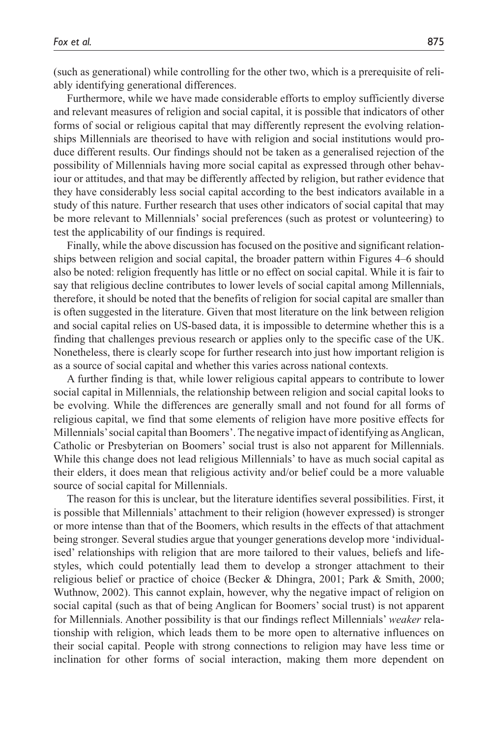(such as generational) while controlling for the other two, which is a prerequisite of reliably identifying generational differences.

Furthermore, while we have made considerable efforts to employ sufficiently diverse and relevant measures of religion and social capital, it is possible that indicators of other forms of social or religious capital that may differently represent the evolving relationships Millennials are theorised to have with religion and social institutions would produce different results. Our findings should not be taken as a generalised rejection of the possibility of Millennials having more social capital as expressed through other behaviour or attitudes, and that may be differently affected by religion, but rather evidence that they have considerably less social capital according to the best indicators available in a study of this nature. Further research that uses other indicators of social capital that may be more relevant to Millennials' social preferences (such as protest or volunteering) to test the applicability of our findings is required.

Finally, while the above discussion has focused on the positive and significant relationships between religion and social capital, the broader pattern within Figures 4–6 should also be noted: religion frequently has little or no effect on social capital. While it is fair to say that religious decline contributes to lower levels of social capital among Millennials, therefore, it should be noted that the benefits of religion for social capital are smaller than is often suggested in the literature. Given that most literature on the link between religion and social capital relies on US-based data, it is impossible to determine whether this is a finding that challenges previous research or applies only to the specific case of the UK. Nonetheless, there is clearly scope for further research into just how important religion is as a source of social capital and whether this varies across national contexts.

A further finding is that, while lower religious capital appears to contribute to lower social capital in Millennials, the relationship between religion and social capital looks to be evolving. While the differences are generally small and not found for all forms of religious capital, we find that some elements of religion have more positive effects for Millennials' social capital than Boomers'. The negative impact of identifying as Anglican, Catholic or Presbyterian on Boomers' social trust is also not apparent for Millennials. While this change does not lead religious Millennials' to have as much social capital as their elders, it does mean that religious activity and/or belief could be a more valuable source of social capital for Millennials.

The reason for this is unclear, but the literature identifies several possibilities. First, it is possible that Millennials' attachment to their religion (however expressed) is stronger or more intense than that of the Boomers, which results in the effects of that attachment being stronger. Several studies argue that younger generations develop more 'individualised' relationships with religion that are more tailored to their values, beliefs and lifestyles, which could potentially lead them to develop a stronger attachment to their religious belief or practice of choice (Becker & Dhingra, 2001; Park & Smith, 2000; Wuthnow, 2002). This cannot explain, however, why the negative impact of religion on social capital (such as that of being Anglican for Boomers' social trust) is not apparent for Millennials. Another possibility is that our findings reflect Millennials' *weaker* relationship with religion, which leads them to be more open to alternative influences on their social capital. People with strong connections to religion may have less time or inclination for other forms of social interaction, making them more dependent on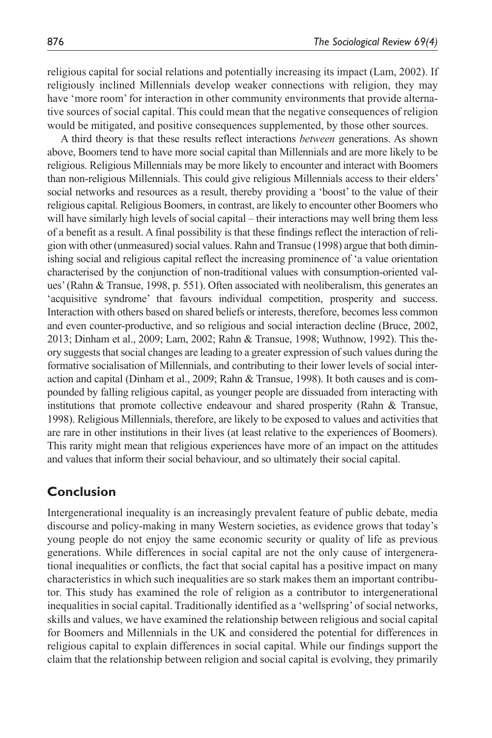religious capital for social relations and potentially increasing its impact (Lam, 2002). If religiously inclined Millennials develop weaker connections with religion, they may have 'more room' for interaction in other community environments that provide alternative sources of social capital. This could mean that the negative consequences of religion would be mitigated, and positive consequences supplemented, by those other sources.

A third theory is that these results reflect interactions *between* generations. As shown above, Boomers tend to have more social capital than Millennials and are more likely to be religious. Religious Millennials may be more likely to encounter and interact with Boomers than non-religious Millennials. This could give religious Millennials access to their elders' social networks and resources as a result, thereby providing a 'boost' to the value of their religious capital. Religious Boomers, in contrast, are likely to encounter other Boomers who will have similarly high levels of social capital – their interactions may well bring them less of a benefit as a result. A final possibility is that these findings reflect the interaction of religion with other (unmeasured) social values. Rahn and Transue (1998) argue that both diminishing social and religious capital reflect the increasing prominence of 'a value orientation characterised by the conjunction of non-traditional values with consumption-oriented values' (Rahn & Transue, 1998, p. 551). Often associated with neoliberalism, this generates an 'acquisitive syndrome' that favours individual competition, prosperity and success. Interaction with others based on shared beliefs or interests, therefore, becomes less common and even counter-productive, and so religious and social interaction decline (Bruce, 2002, 2013; Dinham et al., 2009; Lam, 2002; Rahn & Transue, 1998; Wuthnow, 1992). This theory suggests that social changes are leading to a greater expression of such values during the formative socialisation of Millennials, and contributing to their lower levels of social interaction and capital (Dinham et al., 2009; Rahn & Transue, 1998). It both causes and is compounded by falling religious capital, as younger people are dissuaded from interacting with institutions that promote collective endeavour and shared prosperity (Rahn & Transue, 1998). Religious Millennials, therefore, are likely to be exposed to values and activities that are rare in other institutions in their lives (at least relative to the experiences of Boomers). This rarity might mean that religious experiences have more of an impact on the attitudes and values that inform their social behaviour, and so ultimately their social capital.

## **Conclusion**

Intergenerational inequality is an increasingly prevalent feature of public debate, media discourse and policy-making in many Western societies, as evidence grows that today's young people do not enjoy the same economic security or quality of life as previous generations. While differences in social capital are not the only cause of intergenerational inequalities or conflicts, the fact that social capital has a positive impact on many characteristics in which such inequalities are so stark makes them an important contributor. This study has examined the role of religion as a contributor to intergenerational inequalities in social capital. Traditionally identified as a 'wellspring' of social networks, skills and values, we have examined the relationship between religious and social capital for Boomers and Millennials in the UK and considered the potential for differences in religious capital to explain differences in social capital. While our findings support the claim that the relationship between religion and social capital is evolving, they primarily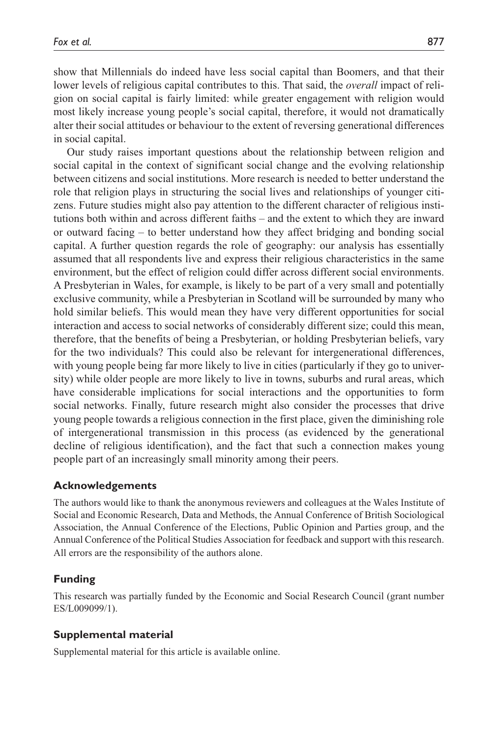show that Millennials do indeed have less social capital than Boomers, and that their lower levels of religious capital contributes to this. That said, the *overall* impact of religion on social capital is fairly limited: while greater engagement with religion would most likely increase young people's social capital, therefore, it would not dramatically alter their social attitudes or behaviour to the extent of reversing generational differences in social capital.

Our study raises important questions about the relationship between religion and social capital in the context of significant social change and the evolving relationship between citizens and social institutions. More research is needed to better understand the role that religion plays in structuring the social lives and relationships of younger citizens. Future studies might also pay attention to the different character of religious institutions both within and across different faiths – and the extent to which they are inward or outward facing – to better understand how they affect bridging and bonding social capital. A further question regards the role of geography: our analysis has essentially assumed that all respondents live and express their religious characteristics in the same environment, but the effect of religion could differ across different social environments. A Presbyterian in Wales, for example, is likely to be part of a very small and potentially exclusive community, while a Presbyterian in Scotland will be surrounded by many who hold similar beliefs. This would mean they have very different opportunities for social interaction and access to social networks of considerably different size; could this mean, therefore, that the benefits of being a Presbyterian, or holding Presbyterian beliefs, vary for the two individuals? This could also be relevant for intergenerational differences, with young people being far more likely to live in cities (particularly if they go to university) while older people are more likely to live in towns, suburbs and rural areas, which have considerable implications for social interactions and the opportunities to form social networks. Finally, future research might also consider the processes that drive young people towards a religious connection in the first place, given the diminishing role of intergenerational transmission in this process (as evidenced by the generational decline of religious identification), and the fact that such a connection makes young people part of an increasingly small minority among their peers.

## **Acknowledgements**

The authors would like to thank the anonymous reviewers and colleagues at the Wales Institute of Social and Economic Research, Data and Methods, the Annual Conference of British Sociological Association, the Annual Conference of the Elections, Public Opinion and Parties group, and the Annual Conference of the Political Studies Association for feedback and support with this research. All errors are the responsibility of the authors alone.

## **Funding**

This research was partially funded by the Economic and Social Research Council (grant number ES/L009099/1).

## **Supplemental material**

Supplemental material for this article is available online.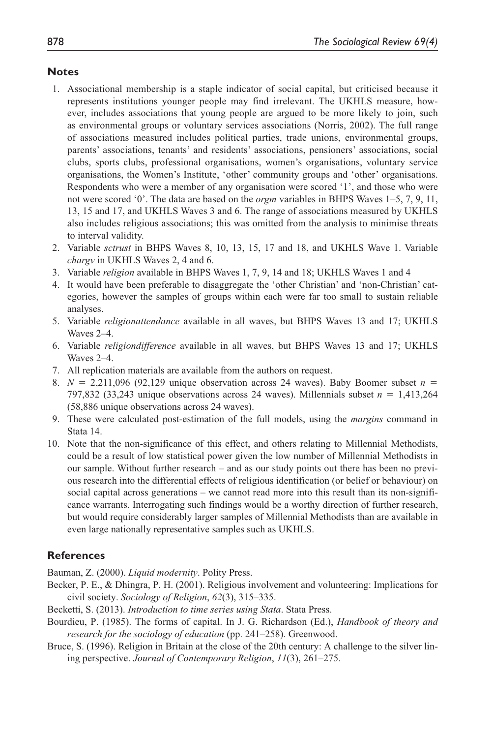#### **Notes**

- 1. Associational membership is a staple indicator of social capital, but criticised because it represents institutions younger people may find irrelevant. The UKHLS measure, however, includes associations that young people are argued to be more likely to join, such as environmental groups or voluntary services associations (Norris, 2002). The full range of associations measured includes political parties, trade unions, environmental groups, parents' associations, tenants' and residents' associations, pensioners' associations, social clubs, sports clubs, professional organisations, women's organisations, voluntary service organisations, the Women's Institute, 'other' community groups and 'other' organisations. Respondents who were a member of any organisation were scored '1', and those who were not were scored '0'. The data are based on the *orgm* variables in BHPS Waves 1–5, 7, 9, 11, 13, 15 and 17, and UKHLS Waves 3 and 6. The range of associations measured by UKHLS also includes religious associations; this was omitted from the analysis to minimise threats to interval validity.
- 2. Variable *sctrust* in BHPS Waves 8, 10, 13, 15, 17 and 18, and UKHLS Wave 1. Variable *chargv* in UKHLS Waves 2, 4 and 6.
- 3. Variable *religion* available in BHPS Waves 1, 7, 9, 14 and 18; UKHLS Waves 1 and 4
- 4. It would have been preferable to disaggregate the 'other Christian' and 'non-Christian' categories, however the samples of groups within each were far too small to sustain reliable analyses.
- 5. Variable *religionattendance* available in all waves, but BHPS Waves 13 and 17; UKHLS Waves 2–4.
- 6. Variable *religiondifference* available in all waves, but BHPS Waves 13 and 17; UKHLS Waves 2–4.
- 7. All replication materials are available from the authors on request.
- 8.  $N = 2,211,096$  (92,129 unique observation across 24 waves). Baby Boomer subset  $n =$ 797,832 (33,243 unique observations across 24 waves). Millennials subset *n* = 1,413,264 (58,886 unique observations across 24 waves).
- 9. These were calculated post-estimation of the full models, using the *margins* command in Stata 14.
- 10. Note that the non-significance of this effect, and others relating to Millennial Methodists, could be a result of low statistical power given the low number of Millennial Methodists in our sample. Without further research – and as our study points out there has been no previous research into the differential effects of religious identification (or belief or behaviour) on social capital across generations – we cannot read more into this result than its non-significance warrants. Interrogating such findings would be a worthy direction of further research, but would require considerably larger samples of Millennial Methodists than are available in even large nationally representative samples such as UKHLS.

## **References**

Bauman, Z. (2000). *Liquid modernity*. Polity Press.

- Becker, P. E., & Dhingra, P. H. (2001). Religious involvement and volunteering: Implications for civil society. *Sociology of Religion*, *62*(3), 315–335.
- Becketti, S. (2013). *Introduction to time series using Stata*. Stata Press.
- Bourdieu, P. (1985). The forms of capital. In J. G. Richardson (Ed.), *Handbook of theory and research for the sociology of education* (pp. 241–258). Greenwood.
- Bruce, S. (1996). Religion in Britain at the close of the 20th century: A challenge to the silver lining perspective. *Journal of Contemporary Religion*, *11*(3), 261–275.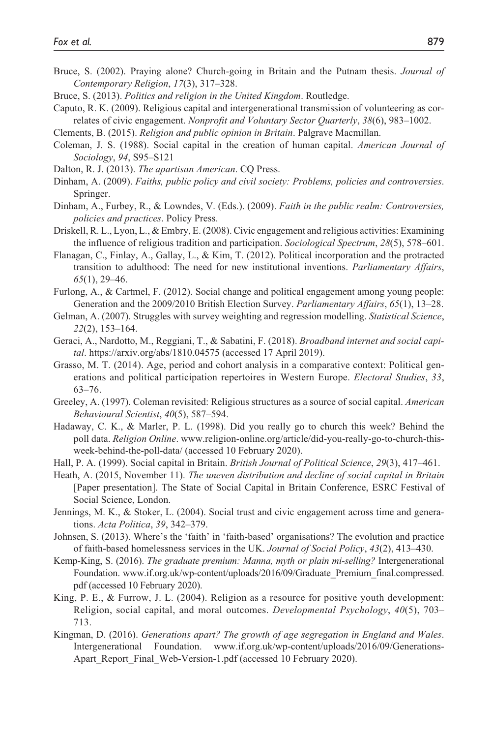- Bruce, S. (2002). Praying alone? Church-going in Britain and the Putnam thesis. *Journal of Contemporary Religion*, *17*(3), 317–328.
- Bruce, S. (2013). *Politics and religion in the United Kingdom*. Routledge.
- Caputo, R. K. (2009). Religious capital and intergenerational transmission of volunteering as correlates of civic engagement. *Nonprofit and Voluntary Sector Quarterly*, *38*(6), 983–1002.
- Clements, B. (2015). *Religion and public opinion in Britain*. Palgrave Macmillan.
- Coleman, J. S. (1988). Social capital in the creation of human capital. *American Journal of Sociology*, *94*, S95–S121
- Dalton, R. J. (2013). *The apartisan American*. CQ Press.
- Dinham, A. (2009). *Faiths, public policy and civil society: Problems, policies and controversies*. Springer.
- Dinham, A., Furbey, R., & Lowndes, V. (Eds.). (2009). *Faith in the public realm: Controversies, policies and practices*. Policy Press.
- Driskell, R. L., Lyon, L., & Embry, E. (2008). Civic engagement and religious activities: Examining the influence of religious tradition and participation. *Sociological Spectrum*, *28*(5), 578–601.
- Flanagan, C., Finlay, A., Gallay, L., & Kim, T. (2012). Political incorporation and the protracted transition to adulthood: The need for new institutional inventions. *Parliamentary Affairs*, *65*(1), 29–46.
- Furlong, A., & Cartmel, F. (2012). Social change and political engagement among young people: Generation and the 2009/2010 British Election Survey. *Parliamentary Affairs*, *65*(1), 13–28.
- Gelman, A. (2007). Struggles with survey weighting and regression modelling. *Statistical Science*, *22*(2), 153–164.
- Geraci, A., Nardotto, M., Reggiani, T., & Sabatini, F. (2018). *Broadband internet and social capital*.<https://arxiv.org/abs/1810.04575>(accessed 17 April 2019).
- Grasso, M. T. (2014). Age, period and cohort analysis in a comparative context: Political generations and political participation repertoires in Western Europe. *Electoral Studies*, *33*, 63–76.
- Greeley, A. (1997). Coleman revisited: Religious structures as a source of social capital. *American Behavioural Scientist*, *40*(5), 587–594.
- Hadaway, C. K., & Marler, P. L. (1998). Did you really go to church this week? Behind the poll data. *Religion Online*. [www.religion-online.org/article/did-you-really-go-to-church-this](www.religion-online.org/article/did-you-really-go-to-church-this-week-behind-the-poll-data/)[week-behind-the-poll-data/](www.religion-online.org/article/did-you-really-go-to-church-this-week-behind-the-poll-data/) (accessed 10 February 2020).
- Hall, P. A. (1999). Social capital in Britain. *British Journal of Political Science*, *29*(3), 417–461.
- Heath, A. (2015, November 11). *The uneven distribution and decline of social capital in Britain* [Paper presentation]. The State of Social Capital in Britain Conference, ESRC Festival of Social Science, London.
- Jennings, M. K., & Stoker, L. (2004). Social trust and civic engagement across time and generations. *Acta Politica*, *39*, 342–379.
- Johnsen, S. (2013). Where's the 'faith' in 'faith-based' organisations? The evolution and practice of faith-based homelessness services in the UK. *Journal of Social Policy*, *43*(2), 413–430.
- Kemp-King, S. (2016). *The graduate premium: Manna, myth or plain mi-selling?* Intergenerational Foundation. [www.if.org.uk/wp-content/uploads/2016/09/Graduate\\_Premium\\_final.compressed.](www.if.org.uk/wp-content/uploads/2016/09/Graduate_Premium_final.compressed.pdf) [pdf](www.if.org.uk/wp-content/uploads/2016/09/Graduate_Premium_final.compressed.pdf) (accessed 10 February 2020).
- King, P. E., & Furrow, J. L. (2004). Religion as a resource for positive youth development: Religion, social capital, and moral outcomes. *Developmental Psychology*, *40*(5), 703– 713.
- Kingman, D. (2016). *Generations apart? The growth of age segregation in England and Wales*. Intergenerational Foundation. [www.if.org.uk/wp-content/uploads/2016/09/Generations-](www.if.org.uk/wp-content/uploads/2016/09/Generations-Apart_Report_Final_Web-Version-1.pdf)Apart Report Final Web-Version-1.pdf (accessed 10 February 2020).